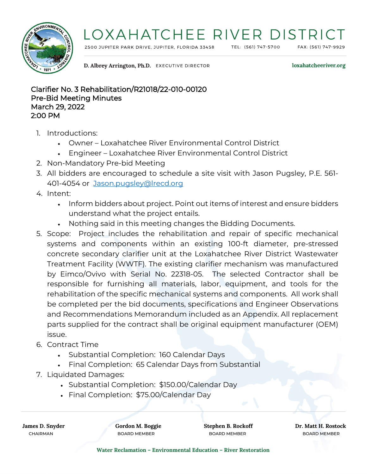

## LOXAHATCHEE RIVER DISTRICT

2500 JUPITER PARK DRIVE, JUPITER, FLORIDA 33458

TEL: (561) 747-5700

FAX: (561) 747-9929

D. Albrey Arrington, Ph.D. EXECUTIVE DIRECTOR

loxahatcheeriver.org

Clarifier No. 3 Rehabilitation/R21018/22-010-00120 Pre-Bid Meeting Minutes March 29, 2022 2:00 PM

- 1. Introductions:
	- Owner Loxahatchee River Environmental Control District
	- Engineer Loxahatchee River Environmental Control District
- 2. Non-Mandatory Pre-bid Meeting
- 3. All bidders are encouraged to schedule a site visit with Jason Pugsley, P.E. 561- 401-4054 or [Jason.pugsley@lrecd.org](mailto:Jason.pugsley@lrecd.org)
- 4. Intent:
	- Inform bidders about project. Point out items of interest and ensure bidders understand what the project entails.
	- Nothing said in this meeting changes the Bidding Documents.
- 5. Scope: Project includes the rehabilitation and repair of specific mechanical systems and components within an existing 100-ft diameter, pre-stressed concrete secondary clarifier unit at the Loxahatchee River District Wastewater Treatment Facility (WWTF). The existing clarifier mechanism was manufactured by Eimco/Ovivo with Serial No. 22318-05. The selected Contractor shall be responsible for furnishing all materials, labor, equipment, and tools for the rehabilitation of the specific mechanical systems and components. All work shall be completed per the bid documents, specifications and Engineer Observations and Recommendations Memorandum included as an Appendix. All replacement parts supplied for the contract shall be original equipment manufacturer (OEM) issue.
- 6. Contract Time
	- Substantial Completion: 160 Calendar Days
	- Final Completion: 65 Calendar Days from Substantial
- 7. Liquidated Damages:
	- Substantial Completion: \$150.00/Calendar Day
	- Final Completion: \$75.00/Calendar Day

CHAIRMAN BOARD MEMBER BOARD MEMBER BOARD MEMBER

**James D. Snyder Gordon M. Boggie Stephen B. Rockoff Dr. Matt H. Rostock**

**Water Reclamation – Environmental Education – River Restoration**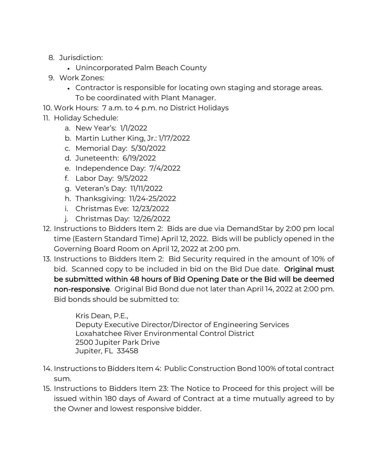- 8. Jurisdiction:
	- Unincorporated Palm Beach County
- 9. Work Zones:
	- Contractor is responsible for locating own staging and storage areas. To be coordinated with Plant Manager.
- 10. Work Hours: 7 a.m. to 4 p.m. no District Holidays
- 11. Holiday Schedule:
	- a. New Year's: 1/1/2022
	- b. Martin Luther King, Jr.: 1/17/2022
	- c. Memorial Day: 5/30/2022
	- d. Juneteenth: 6/19/2022
	- e. Independence Day: 7/4/2022
	- f. Labor Day: 9/5/2022
	- g. Veteran's Day: 11/11/2022
	- h. Thanksgiving: 11/24-25/2022
	- i. Christmas Eve: 12/23/2022
	- j. Christmas Day: 12/26/2022
- 12. Instructions to Bidders Item 2: Bids are due via DemandStar by 2:00 pm local time (Eastern Standard Time) April 12, 2022. Bids will be publicly opened in the Governing Board Room on April 12, 2022 at 2:00 pm.
- 13. Instructions to Bidders Item 2: Bid Security required in the amount of 10% of bid. Scanned copy to be included in bid on the Bid Due date. Original must be submitted within 48 hours of Bid Opening Date or the Bid will be deemed non-responsive. Original Bid Bond due not later than April 14, 2022 at 2:00 pm. Bid bonds should be submitted to:

Kris Dean, P.E., Deputy Executive Director/Director of Engineering Services Loxahatchee River Environmental Control District 2500 Jupiter Park Drive Jupiter, FL 33458

- 14. Instructions to Bidders Item 4: Public Construction Bond 100% of total contract sum.
- 15. Instructions to Bidders Item 23: The Notice to Proceed for this project will be issued within 180 days of Award of Contract at a time mutually agreed to by the Owner and lowest responsive bidder.